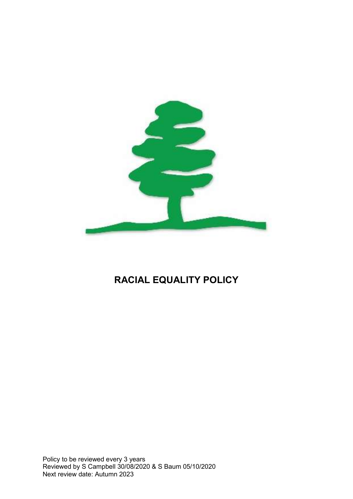

# RACIAL EQUALITY POLICY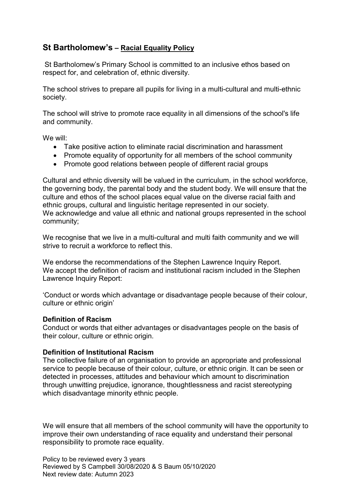## St Bartholomew's – Racial Equality Policy

 St Bartholomew's Primary School is committed to an inclusive ethos based on respect for, and celebration of, ethnic diversity.

The school strives to prepare all pupils for living in a multi-cultural and multi-ethnic society.

The school will strive to promote race equality in all dimensions of the school's life and community.

We will:

- Take positive action to eliminate racial discrimination and harassment
- Promote equality of opportunity for all members of the school community
- Promote good relations between people of different racial groups

Cultural and ethnic diversity will be valued in the curriculum, in the school workforce, the governing body, the parental body and the student body. We will ensure that the culture and ethos of the school places equal value on the diverse racial faith and ethnic groups, cultural and linguistic heritage represented in our society. We acknowledge and value all ethnic and national groups represented in the school community;

We recognise that we live in a multi-cultural and multi faith community and we will strive to recruit a workforce to reflect this.

We endorse the recommendations of the Stephen Lawrence Inquiry Report. We accept the definition of racism and institutional racism included in the Stephen Lawrence Inquiry Report:

'Conduct or words which advantage or disadvantage people because of their colour, culture or ethnic origin'

## Definition of Racism

Conduct or words that either advantages or disadvantages people on the basis of their colour, culture or ethnic origin.

## Definition of Institutional Racism

The collective failure of an organisation to provide an appropriate and professional service to people because of their colour, culture, or ethnic origin. It can be seen or detected in processes, attitudes and behaviour which amount to discrimination through unwitting prejudice, ignorance, thoughtlessness and racist stereotyping which disadvantage minority ethnic people.

We will ensure that all members of the school community will have the opportunity to improve their own understanding of race equality and understand their personal responsibility to promote race equality.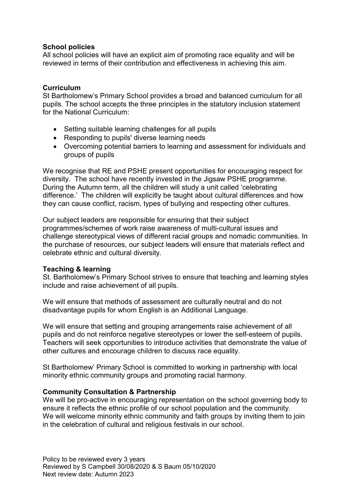## School policies

All school policies will have an explicit aim of promoting race equality and will be reviewed in terms of their contribution and effectiveness in achieving this aim.

## **Curriculum**

St Bartholomew's Primary School provides a broad and balanced curriculum for all pupils. The school accepts the three principles in the statutory inclusion statement for the National Curriculum:

- Setting suitable learning challenges for all pupils
- Responding to pupils' diverse learning needs
- Overcoming potential barriers to learning and assessment for individuals and groups of pupils

We recognise that RE and PSHE present opportunities for encouraging respect for diversity. The school have recently invested in the Jigsaw PSHE programme. During the Autumn term, all the children will study a unit called 'celebrating difference.' The children will explicitly be taught about cultural differences and how they can cause conflict, racism, types of bullying and respecting other cultures.

Our subject leaders are responsible for ensuring that their subject programmes/schemes of work raise awareness of multi-cultural issues and challenge stereotypical views of different racial groups and nomadic communities. In the purchase of resources, our subject leaders will ensure that materials reflect and celebrate ethnic and cultural diversity.

## Teaching & learning

St. Bartholomew's Primary School strives to ensure that teaching and learning styles include and raise achievement of all pupils.

We will ensure that methods of assessment are culturally neutral and do not disadvantage pupils for whom English is an Additional Language.

We will ensure that setting and grouping arrangements raise achievement of all pupils and do not reinforce negative stereotypes or lower the self-esteem of pupils. Teachers will seek opportunities to introduce activities that demonstrate the value of other cultures and encourage children to discuss race equality.

St Bartholomew' Primary School is committed to working in partnership with local minority ethnic community groups and promoting racial harmony.

## Community Consultation & Partnership

We will be pro-active in encouraging representation on the school governing body to ensure it reflects the ethnic profile of our school population and the community. We will welcome minority ethnic community and faith groups by inviting them to join in the celebration of cultural and religious festivals in our school.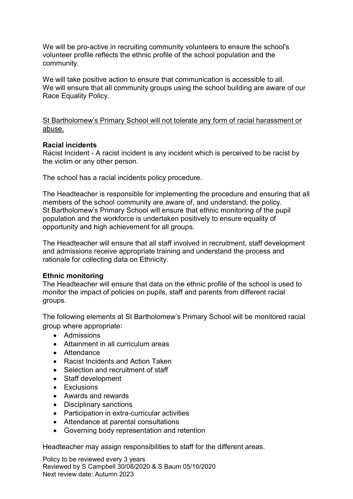We will be pro-active in recruiting community volunteers to ensure the school's volunteer profile reflects the ethnic profile of the school population and the community.

We will take positive action to ensure that communication is accessible to all. We will ensure that all community groups using the school building are aware of our Race Equality Policy.

St Bartholomew's Primary School will not tolerate any form of racial harassment or abuse.

#### Racial incidents

Racist Incident - A racist incident is any incident which is perceived to be racist by the victim or any other person.

The school has a racial incidents policy procedure.

The Headteacher is responsible for implementing the procedure and ensuring that all members of the school community are aware of, and understand, the policy. St Bartholomew's Primary School will ensure that ethnic monitoring of the pupil population and the workforce is undertaken positively to ensure equality of opportunity and high achievement for all groups.

The Headteacher will ensure that all staff involved in recruitment, staff development and admissions receive appropriate training and understand the process and rationale for collecting data on Ethnicity.

## Ethnic monitoring

The Headteacher will ensure that data on the ethnic profile of the school is used to monitor the impact of policies on pupils, staff and parents from different racial groups.

The following elements at St Bartholomew's Primary School will be monitored racial group where appropriate:

- Admissions
- Attainment in all curriculum areas
- Attendance
- Racist Incidents and Action Taken
- Selection and recruitment of staff
- Staff development
- Exclusions
- Awards and rewards
- Disciplinary sanctions
- Participation in extra-curricular activities
- Attendance at parental consultations
- Governing body representation and retention

Headteacher may assign responsibilities to staff for the different areas.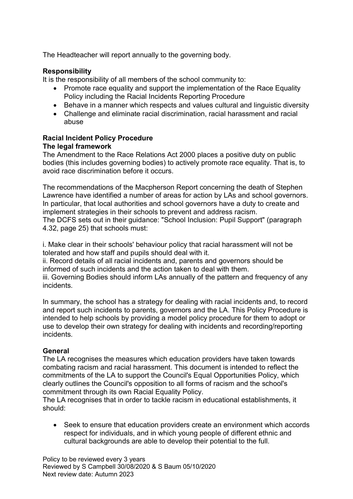The Headteacher will report annually to the governing body.

## **Responsibility**

It is the responsibility of all members of the school community to:

- Promote race equality and support the implementation of the Race Equality Policy including the Racial Incidents Reporting Procedure
- Behave in a manner which respects and values cultural and linguistic diversity
- Challenge and eliminate racial discrimination, racial harassment and racial abuse

# Racial Incident Policy Procedure

## The legal framework

The Amendment to the Race Relations Act 2000 places a positive duty on public bodies (this includes governing bodies) to actively promote race equality. That is, to avoid race discrimination before it occurs.

The recommendations of the Macpherson Report concerning the death of Stephen Lawrence have identified a number of areas for action by LAs and school governors. In particular, that local authorities and school governors have a duty to create and implement strategies in their schools to prevent and address racism.

The DCFS sets out in their guidance: "School Inclusion: Pupil Support" (paragraph 4.32, page 25) that schools must:

i. Make clear in their schools' behaviour policy that racial harassment will not be tolerated and how staff and pupils should deal with it.

ii. Record details of all racial incidents and, parents and governors should be informed of such incidents and the action taken to deal with them.

iii. Governing Bodies should inform LAs annually of the pattern and frequency of any incidents.

In summary, the school has a strategy for dealing with racial incidents and, to record and report such incidents to parents, governors and the LA. This Policy Procedure is intended to help schools by providing a model policy procedure for them to adopt or use to develop their own strategy for dealing with incidents and recording/reporting incidents.

## General

The LA recognises the measures which education providers have taken towards combating racism and racial harassment. This document is intended to reflect the commitments of the LA to support the Council's Equal Opportunities Policy, which clearly outlines the Council's opposition to all forms of racism and the school's commitment through its own Racial Equality Policy.

The LA recognises that in order to tackle racism in educational establishments, it should:

 Seek to ensure that education providers create an environment which accords respect for individuals, and in which young people of different ethnic and cultural backgrounds are able to develop their potential to the full.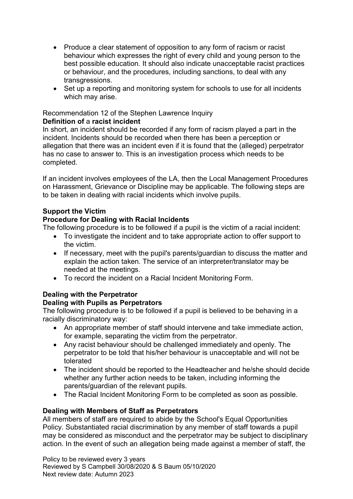- Produce a clear statement of opposition to any form of racism or racist behaviour which expresses the right of every child and young person to the best possible education. It should also indicate unacceptable racist practices or behaviour, and the procedures, including sanctions, to deal with any transgressions.
- Set up a reporting and monitoring system for schools to use for all incidents which may arise.

## Recommendation 12 of the Stephen Lawrence Inquiry

## Definition of a racist incident

In short, an incident should be recorded if any form of racism played a part in the incident. Incidents should be recorded when there has been a perception or allegation that there was an incident even if it is found that the (alleged) perpetrator has no case to answer to. This is an investigation process which needs to be completed.

If an incident involves employees of the LA, then the Local Management Procedures on Harassment, Grievance or Discipline may be applicable. The following steps are to be taken in dealing with racial incidents which involve pupils.

## Support the Victim

## Procedure for Dealing with Racial Incidents

The following procedure is to be followed if a pupil is the victim of a racial incident:

- To investigate the incident and to take appropriate action to offer support to the victim.
- If necessary, meet with the pupil's parents/guardian to discuss the matter and explain the action taken. The service of an interpreter/translator may be needed at the meetings.
- To record the incident on a Racial Incident Monitoring Form.

## Dealing with the Perpetrator

## Dealing with Pupils as Perpetrators

The following procedure is to be followed if a pupil is believed to be behaving in a racially discriminatory way:

- An appropriate member of staff should intervene and take immediate action, for example, separating the victim from the perpetrator.
- Any racist behaviour should be challenged immediately and openly. The perpetrator to be told that his/her behaviour is unacceptable and will not be tolerated
- The incident should be reported to the Headteacher and he/she should decide whether any further action needs to be taken, including informing the parents/guardian of the relevant pupils.
- The Racial Incident Monitoring Form to be completed as soon as possible.

## Dealing with Members of Staff as Perpetrators

All members of staff are required to abide by the School's Equal Opportunities Policy. Substantiated racial discrimination by any member of staff towards a pupil may be considered as misconduct and the perpetrator may be subject to disciplinary action. In the event of such an allegation being made against a member of staff, the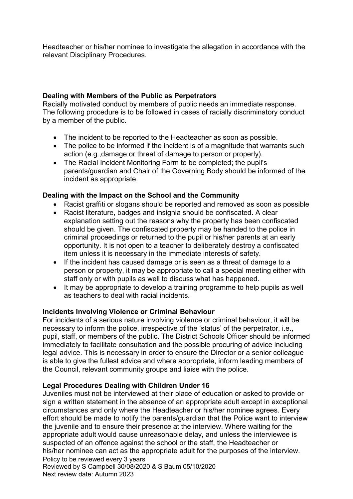Headteacher or his/her nominee to investigate the allegation in accordance with the relevant Disciplinary Procedures.

## Dealing with Members of the Public as Perpetrators

Racially motivated conduct by members of public needs an immediate response. The following procedure is to be followed in cases of racially discriminatory conduct by a member of the public.

- The incident to be reported to the Headteacher as soon as possible.
- The police to be informed if the incident is of a magnitude that warrants such action (e.g.,damage or threat of damage to person or properly).
- The Racial Incident Monitoring Form to be completed; the pupil's parents/guardian and Chair of the Governing Body should be informed of the incident as appropriate.

## Dealing with the Impact on the School and the Community

- Racist graffiti or slogans should be reported and removed as soon as possible
- Racist literature, badges and insignia should be confiscated. A clear explanation setting out the reasons why the property has been confiscated should be given. The confiscated property may be handed to the police in criminal proceedings or returned to the pupil or his/her parents at an early opportunity. It is not open to a teacher to deliberately destroy a confiscated item unless it is necessary in the immediate interests of safety.
- If the incident has caused damage or is seen as a threat of damage to a person or property, it may be appropriate to call a special meeting either with staff only or with pupils as well to discuss what has happened.
- It may be appropriate to develop a training programme to help pupils as well as teachers to deal with racial incidents.

## Incidents Involving Violence or Criminal Behaviour

For incidents of a serious nature involving violence or criminal behaviour, it will be necessary to inform the police, irrespective of the 'status' of the perpetrator, i.e., pupil, staff, or members of the public. The District Schools Officer should be informed immediately to facilitate consultation and the possible procuring of advice including legal advice. This is necessary in order to ensure the Director or a senior colleague is able to give the fullest advice and where appropriate, inform leading members of the Council, relevant community groups and liaise with the police.

## Legal Procedures Dealing with Children Under 16

Policy to be reviewed every 3 years Reviewed by S Campbell 30/08/2020 & S Baum 05/10/2020 Juveniles must not be interviewed at their place of education or asked to provide or sign a written statement in the absence of an appropriate adult except in exceptional circumstances and only where the Headteacher or his/her nominee agrees. Every effort should be made to notify the parents/guardian that the Police want to interview the juvenile and to ensure their presence at the interview. Where waiting for the appropriate adult would cause unreasonable delay, and unless the interviewee is suspected of an offence against the school or the staff, the Headteacher or his/her nominee can act as the appropriate adult for the purposes of the interview.

Next review date: Autumn 2023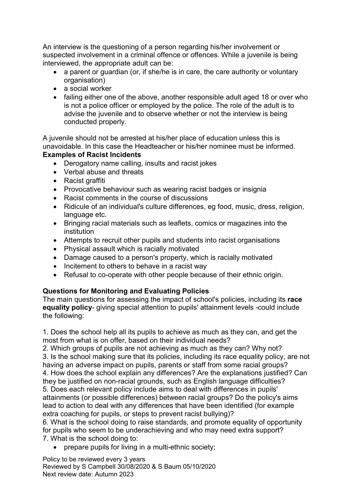An interview is the questioning of a person regarding his/her involvement or suspected involvement in a criminal offence or offences. While a juvenile is being interviewed, the appropriate adult can be:

- a parent or quardian (or, if she/he is in care, the care authority or voluntary organisation)
- a social worker
- failing either one of the above, another responsible adult aged 18 or over who is not a police officer or employed by the police. The role of the adult is to advise the juvenile and to observe whether or not the interview is being conducted properly.

A juvenile should not be arrested at his/her place of education unless this is unavoidable. In this case the Headteacher or his/her nominee must be informed. Examples of Racist lncidents

- Derogatory name calling, insults and racist jokes
- Verbal abuse and threats
- Racist graffiti
- Provocative behaviour such as wearing racist badges or insignia
- Racist comments in the course of discussions
- Ridicule of an individual's culture differences, eg food, music, dress, religion, language etc.
- Bringing racial materials such as leaflets, comics or magazines into the institution
- Attempts to recruit other pupils and students into racist organisations
- Physical assault which is racially motivated
- Damage caused to a person's property, which is racially motivated
- Incitement to others to behave in a racist way
- Refusal to co-operate with other people because of their ethnic origin.

## Questions for Monitoring and Evaluating Policies

The main questions for assessing the impact of school's policies, including its race equality policy- giving special attention to pupils' attainment levels -could include the following:

1. Does the school help all its pupils to achieve as much as they can, and get the most from what is on offer, based on their individual needs?

2. Which groups of pupils are not achieving as much as they can? Why not? 3. Is the school making sure that its policies, including its race equality policy, are not having an adverse impact on pupils, parents or staff from some racial groups? 4. How does the school explain any differences? Are the explanations justified? Can they be justified on non-racial grounds, such as English language difficulties? 5. Does each relevant policy include aims to deal with differences in pupils' attainments (or possible differences) between racial groups? Do the policy's aims

lead to action to deal with any differences that have been identified (for example extra coaching for pupils, or steps to prevent racist bullying)?

6. What is the school doing to raise standards, and promote equality of opportunity for pupils who seem to be underachieving and who may need extra support? 7. What is the school doing to:

prepare pupils for living in a multi-ethnic society;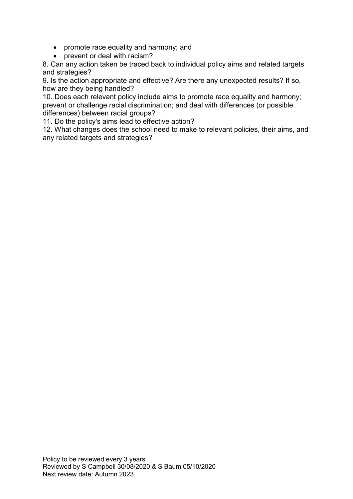- promote race equality and harmony; and
- prevent or deal with racism?

8. Can any action taken be traced back to individual policy aims and related targets and strategies?

9. Is the action appropriate and effective? Are there any unexpected results? If so, how are they being handled?

10. Does each relevant policy include aims to promote race equality and harmony; prevent or challenge racial discrimination; and deal with differences (or possible differences) between racial groups?

11. Do the policy's aims lead to effective action?

12. What changes does the school need to make to relevant policies, their aims, and any related targets and strategies?